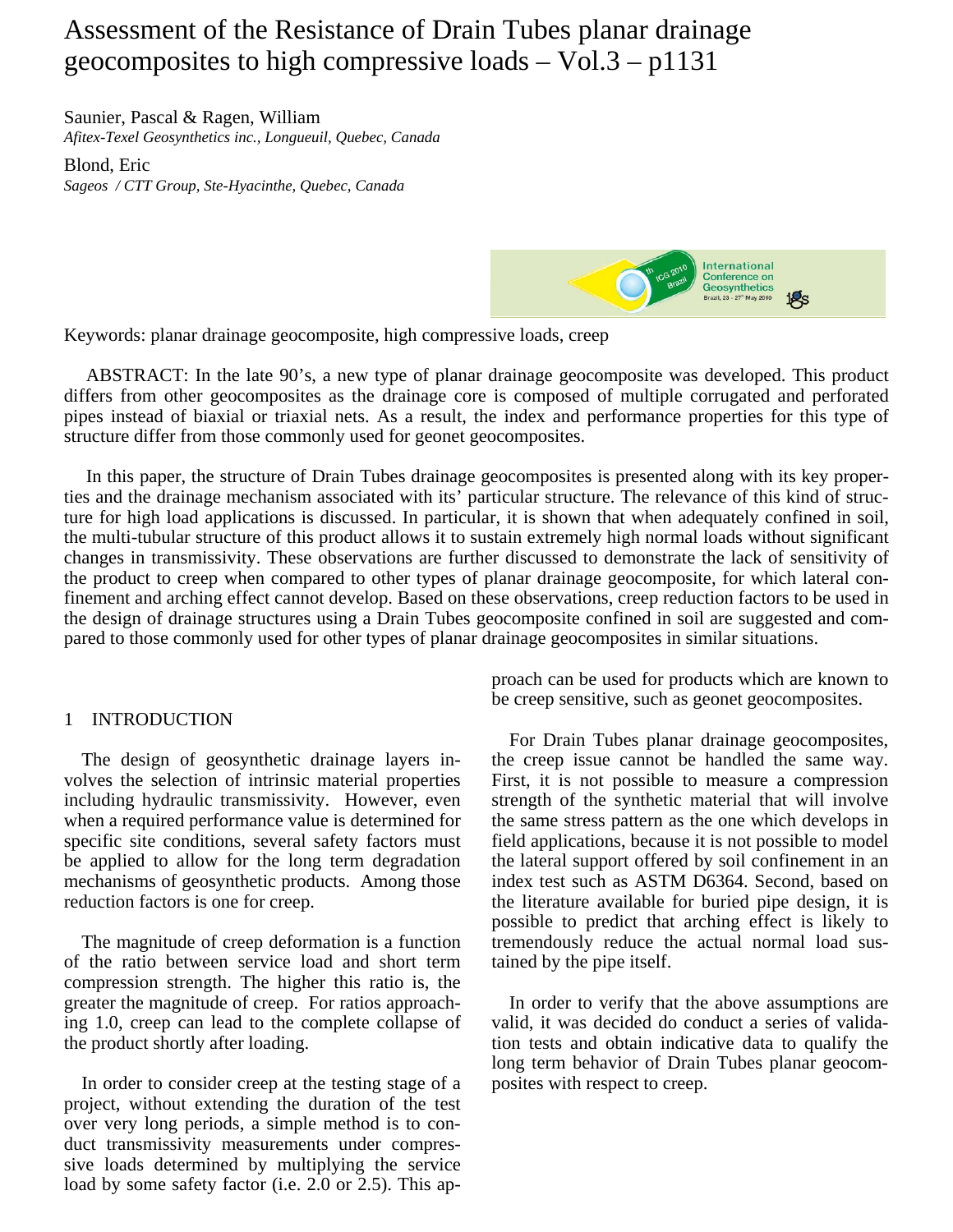# Assessment of the Resistance of Drain Tubes planar drainage geocomposites to high compressive loads – Vol.3 – p1131

Saunier, Pascal & Ragen, William

*Afitex-Texel Geosynthetics inc., Longueuil, Quebec, Canada* 

Blond, Eric

*Sageos / CTT Group, Ste-Hyacinthe, Quebec, Canada* 



Keywords: planar drainage geocomposite, high compressive loads, creep

ABSTRACT: In the late 90's, a new type of planar drainage geocomposite was developed. This product differs from other geocomposites as the drainage core is composed of multiple corrugated and perforated pipes instead of biaxial or triaxial nets. As a result, the index and performance properties for this type of structure differ from those commonly used for geonet geocomposites.

In this paper, the structure of Drain Tubes drainage geocomposites is presented along with its key properties and the drainage mechanism associated with its' particular structure. The relevance of this kind of structure for high load applications is discussed. In particular, it is shown that when adequately confined in soil, the multi-tubular structure of this product allows it to sustain extremely high normal loads without significant changes in transmissivity. These observations are further discussed to demonstrate the lack of sensitivity of the product to creep when compared to other types of planar drainage geocomposite, for which lateral confinement and arching effect cannot develop. Based on these observations, creep reduction factors to be used in the design of drainage structures using a Drain Tubes geocomposite confined in soil are suggested and compared to those commonly used for other types of planar drainage geocomposites in similar situations.

## 1 INTRODUCTION

The design of geosynthetic drainage layers involves the selection of intrinsic material properties including hydraulic transmissivity. However, even when a required performance value is determined for specific site conditions, several safety factors must be applied to allow for the long term degradation mechanisms of geosynthetic products. Among those reduction factors is one for creep.

The magnitude of creep deformation is a function of the ratio between service load and short term compression strength. The higher this ratio is, the greater the magnitude of creep. For ratios approaching 1.0, creep can lead to the complete collapse of the product shortly after loading.

In order to consider creep at the testing stage of a project, without extending the duration of the test over very long periods, a simple method is to conduct transmissivity measurements under compressive loads determined by multiplying the service load by some safety factor (i.e. 2.0 or 2.5). This approach can be used for products which are known to be creep sensitive, such as geonet geocomposites.

For Drain Tubes planar drainage geocomposites, the creep issue cannot be handled the same way. First, it is not possible to measure a compression strength of the synthetic material that will involve the same stress pattern as the one which develops in field applications, because it is not possible to model the lateral support offered by soil confinement in an index test such as ASTM D6364. Second, based on the literature available for buried pipe design, it is possible to predict that arching effect is likely to tremendously reduce the actual normal load sustained by the pipe itself.

In order to verify that the above assumptions are valid, it was decided do conduct a series of validation tests and obtain indicative data to qualify the long term behavior of Drain Tubes planar geocomposites with respect to creep.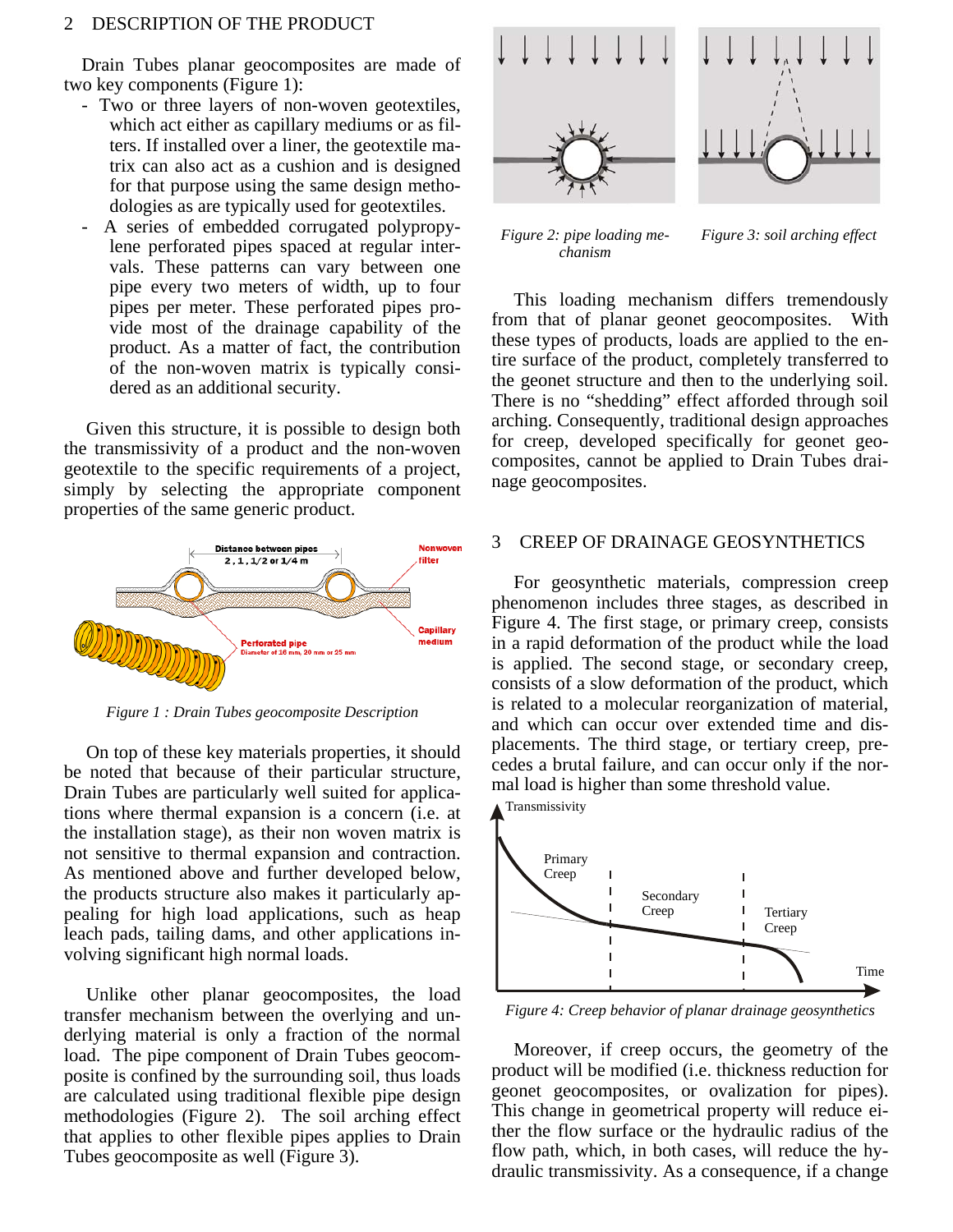#### 2 DESCRIPTION OF THE PRODUCT

Drain Tubes planar geocomposites are made of two key components (Figure 1):

- Two or three layers of non-woven geotextiles, which act either as capillary mediums or as filters. If installed over a liner, the geotextile matrix can also act as a cushion and is designed for that purpose using the same design methodologies as are typically used for geotextiles.
- A series of embedded corrugated polypropylene perforated pipes spaced at regular intervals. These patterns can vary between one pipe every two meters of width, up to four pipes per meter. These perforated pipes provide most of the drainage capability of the product. As a matter of fact, the contribution of the non-woven matrix is typically considered as an additional security.

Given this structure, it is possible to design both the transmissivity of a product and the non-woven geotextile to the specific requirements of a project, simply by selecting the appropriate component properties of the same generic product.



*Figure 1 : Drain Tubes geocomposite Description* 

On top of these key materials properties, it should be noted that because of their particular structure, Drain Tubes are particularly well suited for applications where thermal expansion is a concern (i.e. at the installation stage), as their non woven matrix is not sensitive to thermal expansion and contraction. As mentioned above and further developed below, the products structure also makes it particularly appealing for high load applications, such as heap leach pads, tailing dams, and other applications involving significant high normal loads.

Unlike other planar geocomposites, the load transfer mechanism between the overlying and underlying material is only a fraction of the normal load. The pipe component of Drain Tubes geocomposite is confined by the surrounding soil, thus loads are calculated using traditional flexible pipe design methodologies (Figure 2). The soil arching effect that applies to other flexible pipes applies to Drain Tubes geocomposite as well (Figure 3).



*Figure 2: pipe loading mechanism*

*Figure 3: soil arching effect*

This loading mechanism differs tremendously from that of planar geonet geocomposites. With these types of products, loads are applied to the entire surface of the product, completely transferred to the geonet structure and then to the underlying soil. There is no "shedding" effect afforded through soil arching. Consequently, traditional design approaches for creep, developed specifically for geonet geocomposites, cannot be applied to Drain Tubes drainage geocomposites.

#### 3 CREEP OF DRAINAGE GEOSYNTHETICS

For geosynthetic materials, compression creep phenomenon includes three stages, as described in Figure 4. The first stage, or primary creep, consists in a rapid deformation of the product while the load is applied. The second stage, or secondary creep, consists of a slow deformation of the product, which is related to a molecular reorganization of material, and which can occur over extended time and displacements. The third stage, or tertiary creep, precedes a brutal failure, and can occur only if the normal load is higher than some threshold value.



*Figure 4: Creep behavior of planar drainage geosynthetics* 

Moreover, if creep occurs, the geometry of the product will be modified (i.e. thickness reduction for geonet geocomposites, or ovalization for pipes). This change in geometrical property will reduce either the flow surface or the hydraulic radius of the flow path, which, in both cases, will reduce the hydraulic transmissivity. As a consequence, if a change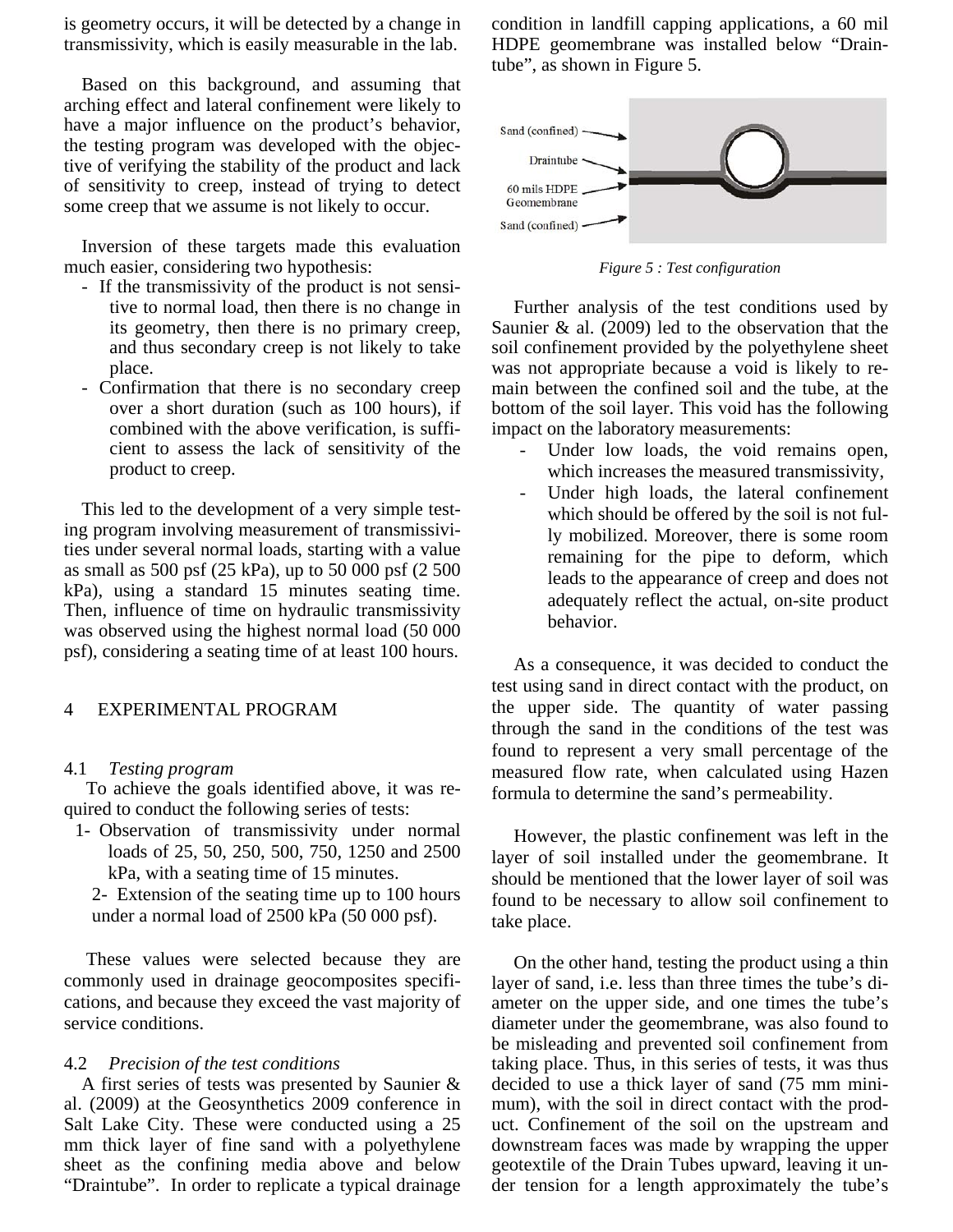is geometry occurs, it will be detected by a change in transmissivity, which is easily measurable in the lab.

Based on this background, and assuming that arching effect and lateral confinement were likely to have a major influence on the product's behavior, the testing program was developed with the objective of verifying the stability of the product and lack of sensitivity to creep, instead of trying to detect some creep that we assume is not likely to occur.

Inversion of these targets made this evaluation much easier, considering two hypothesis:

- If the transmissivity of the product is not sensitive to normal load, then there is no change in its geometry, then there is no primary creep, and thus secondary creep is not likely to take place.
- Confirmation that there is no secondary creep over a short duration (such as 100 hours), if combined with the above verification, is sufficient to assess the lack of sensitivity of the product to creep.

This led to the development of a very simple testing program involving measurement of transmissivities under several normal loads, starting with a value as small as 500 psf (25 kPa), up to 50 000 psf (2 500 kPa), using a standard 15 minutes seating time. Then, influence of time on hydraulic transmissivity was observed using the highest normal load (50 000 psf), considering a seating time of at least 100 hours.

## 4 EXPERIMENTAL PROGRAM

## 4.1 *Testing program*

To achieve the goals identified above, it was required to conduct the following series of tests:

1- Observation of transmissivity under normal loads of 25, 50, 250, 500, 750, 1250 and 2500 kPa, with a seating time of 15 minutes.

2- Extension of the seating time up to 100 hours under a normal load of 2500 kPa (50 000 psf).

These values were selected because they are commonly used in drainage geocomposites specifications, and because they exceed the vast majority of service conditions.

### 4.2 *Precision of the test conditions*

A first series of tests was presented by Saunier & al. (2009) at the Geosynthetics 2009 conference in Salt Lake City. These were conducted using a 25 mm thick layer of fine sand with a polyethylene sheet as the confining media above and below "Draintube". In order to replicate a typical drainage condition in landfill capping applications, a 60 mil HDPE geomembrane was installed below "Draintube", as shown in Figure 5.



*Figure 5 : Test configuration* 

Further analysis of the test conditions used by Saunier & al. (2009) led to the observation that the soil confinement provided by the polyethylene sheet was not appropriate because a void is likely to remain between the confined soil and the tube, at the bottom of the soil layer. This void has the following impact on the laboratory measurements:

- Under low loads, the void remains open, which increases the measured transmissivity,
- Under high loads, the lateral confinement which should be offered by the soil is not fully mobilized. Moreover, there is some room remaining for the pipe to deform, which leads to the appearance of creep and does not adequately reflect the actual, on-site product behavior.

As a consequence, it was decided to conduct the test using sand in direct contact with the product, on the upper side. The quantity of water passing through the sand in the conditions of the test was found to represent a very small percentage of the measured flow rate, when calculated using Hazen formula to determine the sand's permeability.

However, the plastic confinement was left in the layer of soil installed under the geomembrane. It should be mentioned that the lower layer of soil was found to be necessary to allow soil confinement to take place.

On the other hand, testing the product using a thin layer of sand, i.e. less than three times the tube's diameter on the upper side, and one times the tube's diameter under the geomembrane, was also found to be misleading and prevented soil confinement from taking place. Thus, in this series of tests, it was thus decided to use a thick layer of sand (75 mm minimum), with the soil in direct contact with the product. Confinement of the soil on the upstream and downstream faces was made by wrapping the upper geotextile of the Drain Tubes upward, leaving it under tension for a length approximately the tube's